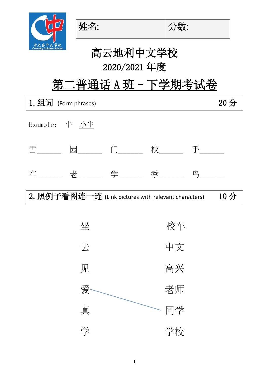



姓名: |分数:

## 第二普通话 A 班 - 下学期考试卷

| 1. 组词 (Form phrases)                                 |    |  |  |  |  |
|------------------------------------------------------|----|--|--|--|--|
| Example: 牛 小生                                        |    |  |  |  |  |
| 雪______ 园______ 门______校______ 手______               |    |  |  |  |  |
| 车______ 老______ 学_____ 季_____ 鸟_____                 |    |  |  |  |  |
| 2. 照例子看图连一连 (Link pictures with relevant characters) |    |  |  |  |  |
|                                                      |    |  |  |  |  |
| 坐                                                    | 校车 |  |  |  |  |
| 去                                                    | 中文 |  |  |  |  |
| 见                                                    | 高兴 |  |  |  |  |
| 爱                                                    | 老师 |  |  |  |  |
| 真                                                    | 同学 |  |  |  |  |
| 学                                                    | 学校 |  |  |  |  |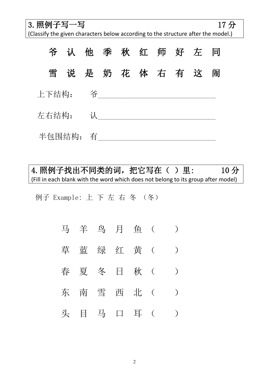3. 照例子写一写 17 分

(Classify the given characters below according to the structure after the model.)



4. 照例子找出不同类的词, 把它写在()里: 10分 (Fill in each blank with the word which does not belong to its group after model)

例子 Example: 上 下 左 右 冬 (冬)

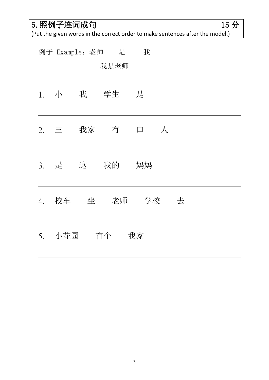5. 照例子连词成句 15 分

(Put the given words in the correct order to make sentences after the model.)

|      |     |           | 例子 Example: 老师 是 | 我                                     |  |  |
|------|-----|-----------|------------------|---------------------------------------|--|--|
|      |     |           | 我是老师             |                                       |  |  |
| 1.   | 小 我 |           | 学生               | 是                                     |  |  |
| 2.   | 三   |           |                  | 我家 有 口 人                              |  |  |
| 3. 是 |     | 这         | 我的               | 妈妈                                    |  |  |
| 4.   |     |           |                  | あわん 校车 の 坐のの老师の 学校 の 去 まん あんじょう かいじょう |  |  |
|      |     | 5. 小花园 有个 |                  | 我家                                    |  |  |